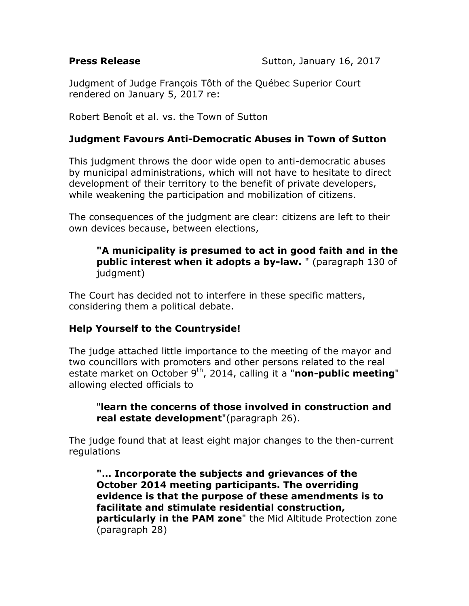Judgment of Judge François Tôth of the Québec Superior Court rendered on January 5, 2017 re:

Robert Benoît et al. vs. the Town of Sutton

## **Judgment Favours Anti-Democratic Abuses in Town of Sutton**

This judgment throws the door wide open to anti-democratic abuses by municipal administrations, which will not have to hesitate to direct development of their territory to the benefit of private developers, while weakening the participation and mobilization of citizens.

The consequences of the judgment are clear: citizens are left to their own devices because, between elections,

## **"A municipality is presumed to act in good faith and in the public interest when it adopts a by-law.** " (paragraph 130 of judgment)

The Court has decided not to interfere in these specific matters, considering them a political debate.

## **Help Yourself to the Countryside!**

The judge attached little importance to the meeting of the mayor and two councillors with promoters and other persons related to the real estate market on October 9<sup>th</sup>, 2014, calling it a "non-public meeting" allowing elected officials to

"**learn the concerns of those involved in construction and real estate development**"(paragraph 26).

The judge found that at least eight major changes to the then-current regulations

**"… Incorporate the subjects and grievances of the October 2014 meeting participants. The overriding evidence is that the purpose of these amendments is to facilitate and stimulate residential construction, particularly in the PAM zone**" the Mid Altitude Protection zone (paragraph 28)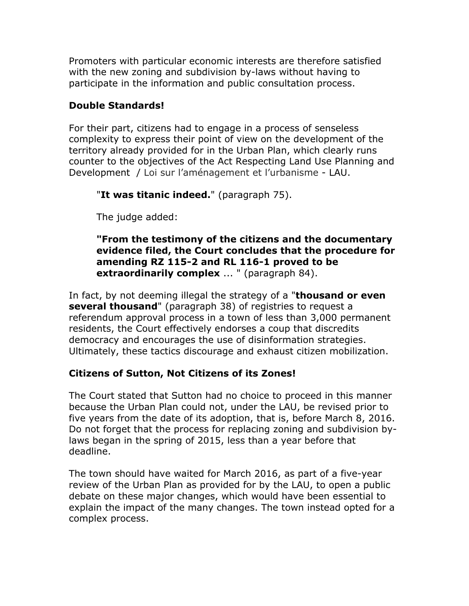Promoters with particular economic interests are therefore satisfied with the new zoning and subdivision by-laws without having to participate in the information and public consultation process.

## **Double Standards!**

For their part, citizens had to engage in a process of senseless complexity to express their point of view on the development of the territory already provided for in the Urban Plan, which clearly runs counter to the objectives of the Act Respecting Land Use Planning and Development / Loi sur l'aménagement et l'urbanisme - LAU.

"**It was titanic indeed.**" (paragraph 75).

The judge added:

**"From the testimony of the citizens and the documentary evidence filed, the Court concludes that the procedure for amending RZ 115-2 and RL 116-1 proved to be extraordinarily complex** ... " (paragraph 84).

In fact, by not deeming illegal the strategy of a "**thousand or even several thousand**" (paragraph 38) of registries to request a referendum approval process in a town of less than 3,000 permanent residents, the Court effectively endorses a coup that discredits democracy and encourages the use of disinformation strategies. Ultimately, these tactics discourage and exhaust citizen mobilization.

# **Citizens of Sutton, Not Citizens of its Zones!**

The Court stated that Sutton had no choice to proceed in this manner because the Urban Plan could not, under the LAU, be revised prior to five years from the date of its adoption, that is, before March 8, 2016. Do not forget that the process for replacing zoning and subdivision bylaws began in the spring of 2015, less than a year before that deadline.

The town should have waited for March 2016, as part of a five-year review of the Urban Plan as provided for by the LAU, to open a public debate on these major changes, which would have been essential to explain the impact of the many changes. The town instead opted for a complex process.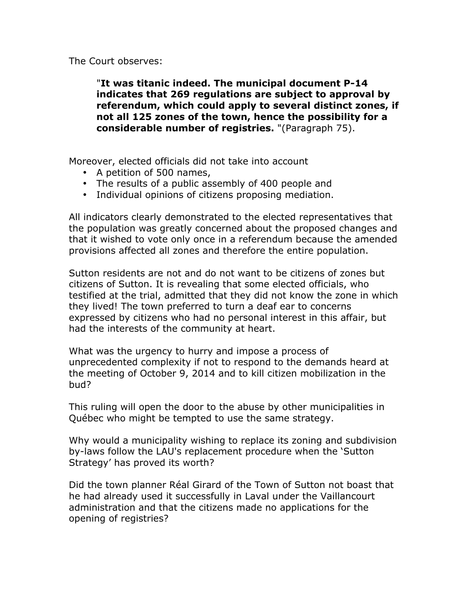The Court observes:

"**It was titanic indeed. The municipal document P-14 indicates that 269 regulations are subject to approval by referendum, which could apply to several distinct zones, if not all 125 zones of the town, hence the possibility for a considerable number of registries.** "(Paragraph 75).

Moreover, elected officials did not take into account

- A petition of 500 names,
- The results of a public assembly of 400 people and
- Individual opinions of citizens proposing mediation.

All indicators clearly demonstrated to the elected representatives that the population was greatly concerned about the proposed changes and that it wished to vote only once in a referendum because the amended provisions affected all zones and therefore the entire population.

Sutton residents are not and do not want to be citizens of zones but citizens of Sutton. It is revealing that some elected officials, who testified at the trial, admitted that they did not know the zone in which they lived! The town preferred to turn a deaf ear to concerns expressed by citizens who had no personal interest in this affair, but had the interests of the community at heart.

What was the urgency to hurry and impose a process of unprecedented complexity if not to respond to the demands heard at the meeting of October 9, 2014 and to kill citizen mobilization in the bud?

This ruling will open the door to the abuse by other municipalities in Québec who might be tempted to use the same strategy.

Why would a municipality wishing to replace its zoning and subdivision by-laws follow the LAU's replacement procedure when the 'Sutton Strategy' has proved its worth?

Did the town planner Réal Girard of the Town of Sutton not boast that he had already used it successfully in Laval under the Vaillancourt administration and that the citizens made no applications for the opening of registries?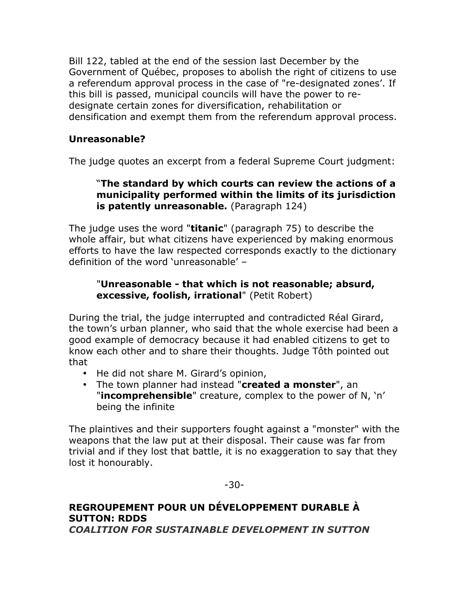Bill 122, tabled at the end of the session last December by the Government of Québec, proposes to abolish the right of citizens to use a referendum approval process in the case of "re-designated zones'. If this bill is passed, municipal councils will have the power to redesignate certain zones for diversification, rehabilitation or densification and exempt them from the referendum approval process.

## **Unreasonable?**

The judge quotes an excerpt from a federal Supreme Court judgment:

## "**The standard by which courts can review the actions of a municipality performed within the limits of its jurisdiction is patently unreasonable.** (Paragraph 124)

The judge uses the word "**titanic**" (paragraph 75) to describe the whole affair, but what citizens have experienced by making enormous efforts to have the law respected corresponds exactly to the dictionary definition of the word 'unreasonable' –

## "**Unreasonable - that which is not reasonable; absurd, excessive, foolish, irrational**" (Petit Robert)

During the trial, the judge interrupted and contradicted Réal Girard, the town's urban planner, who said that the whole exercise had been a good example of democracy because it had enabled citizens to get to know each other and to share their thoughts. Judge Tôth pointed out that

- He did not share M. Girard's opinion,
- The town planner had instead "**created a monster**", an "**incomprehensible**" creature, complex to the power of N, 'n' being the infinite

The plaintives and their supporters fought against a "monster" with the weapons that the law put at their disposal. Their cause was far from trivial and if they lost that battle, it is no exaggeration to say that they lost it honourably.

-30-

### **REGROUPEMENT POUR UN DÉVELOPPEMENT DURABLE À SUTTON: RDDS**  *COALITION FOR SUSTAINABLE DEVELOPMENT IN SUTTON*